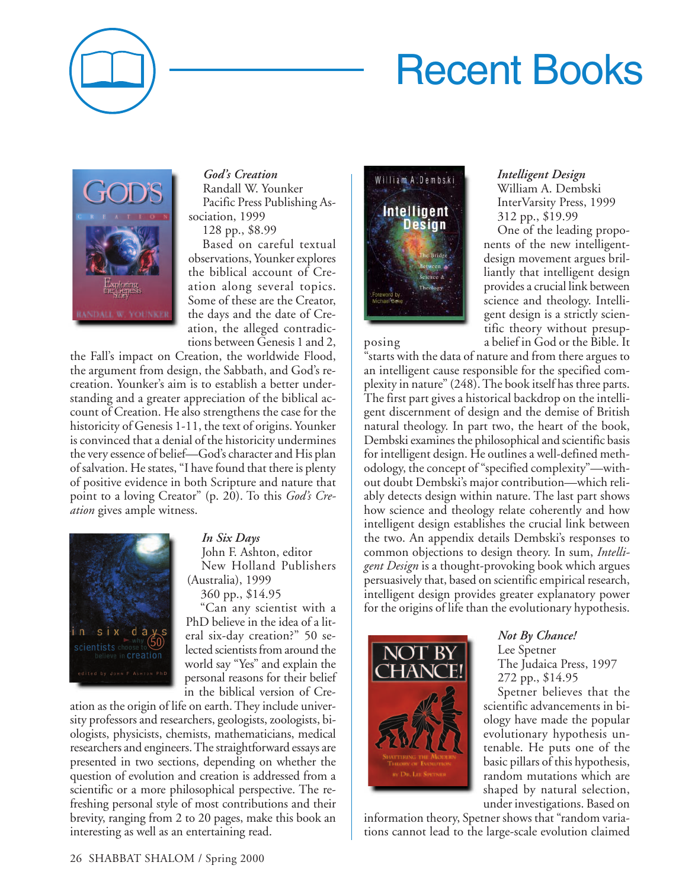# Recent Books



#### *God's Creation*

Randall W. Younker Pacific Press Publishing Association, 1999

128 pp., \$8.99

Based on careful textual observations, Younker explores the biblical account of Creation along several topics. Some of these are the Creator, the days and the date of Creation, the alleged contradictions between Genesis 1 and 2,

the Fall's impact on Creation, the worldwide Flood, the argument from design, the Sabbath, and God's recreation. Younker's aim is to establish a better understanding and a greater appreciation of the biblical account of Creation. He also strengthens the case for the historicity of Genesis 1-11, the text of origins. Younker is convinced that a denial of the historicity undermines the very essence of belief—God's character and His plan of salvation. He states, "I have found that there is plenty of positive evidence in both Scripture and nature that point to a loving Creator" (p. 20). To this *God's Creation* gives ample witness.



#### *In Six Days*

John F. Ashton, editor New Holland Publishers (Australia), 1999 360 pp., \$14.95

"Can any scientist with a PhD believe in the idea of a literal six-day creation?" 50 selected scientists from around the world say "Yes" and explain the personal reasons for their belief in the biblical version of Cre-

ation as the origin of life on earth. They include university professors and researchers, geologists, zoologists, biologists, physicists, chemists, mathematicians, medical researchers and engineers. The straightforward essays are presented in two sections, depending on whether the question of evolution and creation is addressed from a scientific or a more philosophical perspective. The refreshing personal style of most contributions and their brevity, ranging from 2 to 20 pages, make this book an interesting as well as an entertaining read.



#### *Intelligent Design*

William A. Dembski InterVarsity Press, 1999 312 pp., \$19.99

One of the leading proponents of the new intelligentdesign movement argues brilliantly that intelligent design provides a crucial link between science and theology. Intelligent design is a strictly scientific theory without presupposing a belief in God or the Bible. It

"starts with the data of nature and from there argues to an intelligent cause responsible for the specified complexity in nature" (248). The book itself has three parts. The first part gives a historical backdrop on the intelligent discernment of design and the demise of British natural theology. In part two, the heart of the book, Dembski examines the philosophical and scientific basis for intelligent design. He outlines a well-defined methodology, the concept of "specified complexity"—without doubt Dembski's major contribution—which reliably detects design within nature. The last part shows how science and theology relate coherently and how intelligent design establishes the crucial link between the two. An appendix details Dembski's responses to common objections to design theory. In sum, *Intelligent Design* is a thought-provoking book which argues persuasively that, based on scientific empirical research, intelligent design provides greater explanatory power for the origins of life than the evolutionary hypothesis.



## *Not By Chance!* Lee Spetner

The Judaica Press, 1997 272 pp., \$14.95

Spetner believes that the scientific advancements in biology have made the popular evolutionary hypothesis untenable. He puts one of the basic pillars of this hypothesis, random mutations which are shaped by natural selection, under investigations. Based on

information theory, Spetner shows that "random variations cannot lead to the large-scale evolution claimed